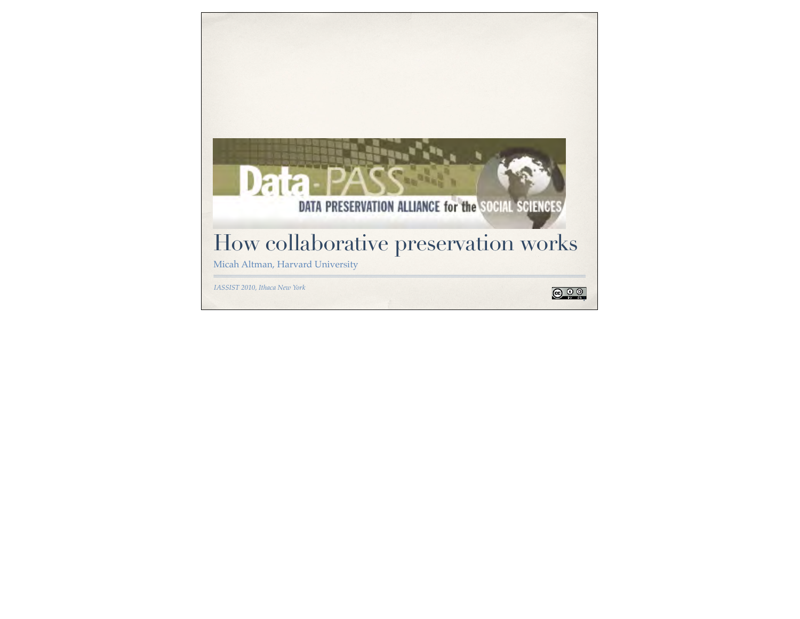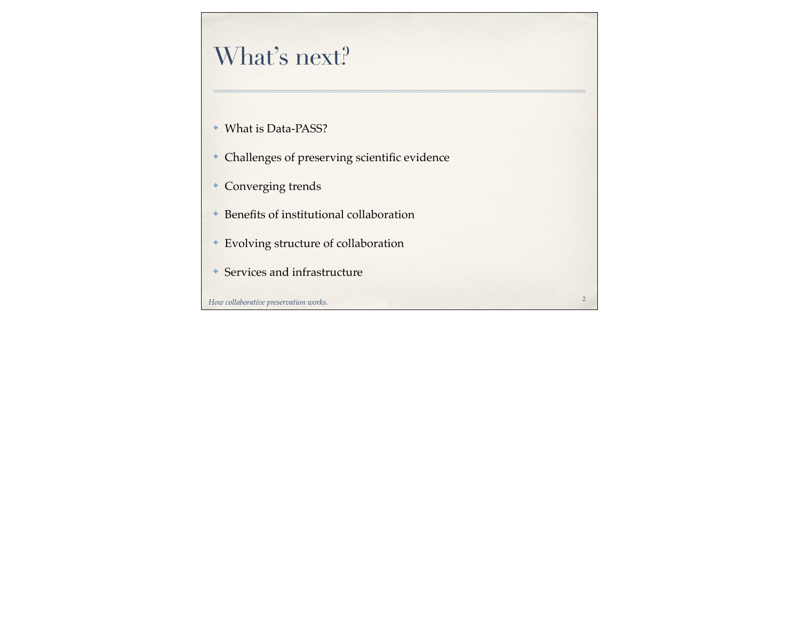# What's next?

- ✤ What is Data-PASS?
- ✤ Challenges of preserving scientific evidence

2

- ✤ Converging trends
- ✤ Benefits of institutional collaboration
- ✤ Evolving structure of collaboration
- ✤ Services and infrastructure

*How collaborative preservation works.*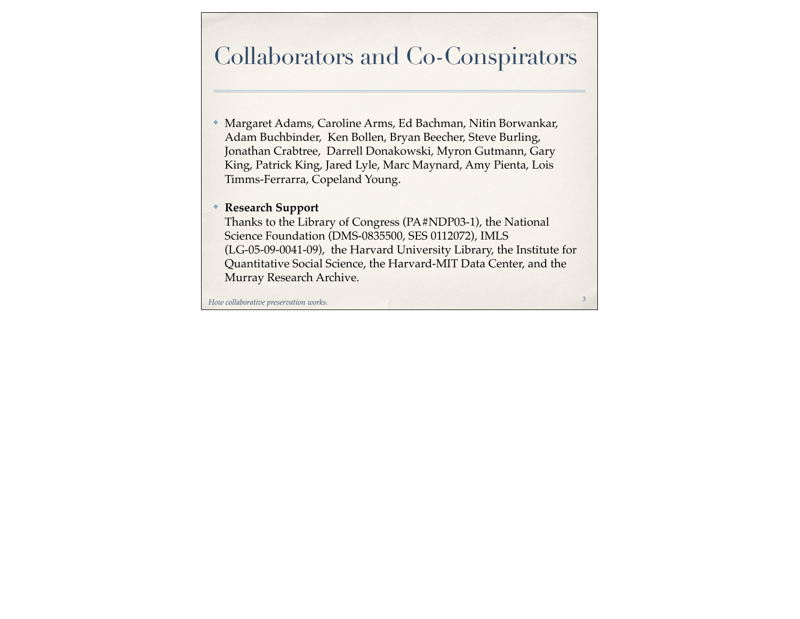## Collaborators and Co-Conspirators

- ✤ Margaret Adams, Caroline Arms, Ed Bachman, Nitin Borwankar, Adam Buchbinder, Ken Bollen, Bryan Beecher, Steve Burling, Jonathan Crabtree, Darrell Donakowski, Myron Gutmann, Gary King, Patrick King, Jared Lyle, Marc Maynard, Amy Pienta, Lois Timms-Ferrarra, Copeland Young.
- ✤ **Research Support**

Thanks to the Library of Congress (PA#NDP03-1), the National Science Foundation (DMS-0835500, SES 0112072), IMLS (LG-05-09-0041-09), the Harvard University Library, the Institute for Quantitative Social Science, the Harvard-MIT Data Center, and the Murray Research Archive.

3

*How collaborative preservation works.*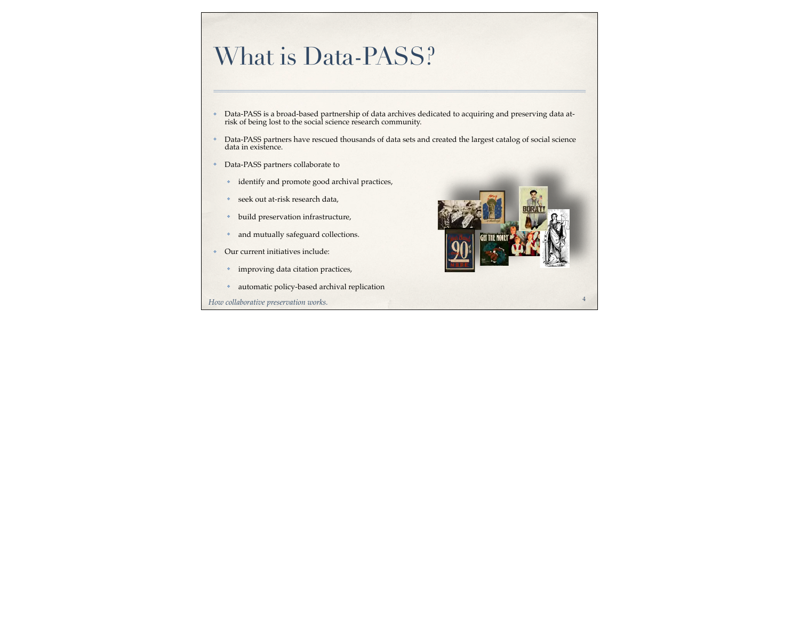## What is Data-PASS?

- ✤ Data-PASS is a broad-based partnership of data archives dedicated to acquiring and preserving data at-risk of being lost to the social science research community.
- Data-PASS partners have rescued thousands of data sets and created the largest catalog of social science data in existence.
- ✤ Data-PASS partners collaborate to
	- ✤ identify and promote good archival practices,
	- ✤ seek out at-risk research data,
	- ✤ build preservation infrastructure,
	- ✤ and mutually safeguard collections.
- ✤ Our current initiatives include:
	- ✤ improving data citation practices,
	- ✤ automatic policy-based archival replication

*How collaborative preservation works.*



4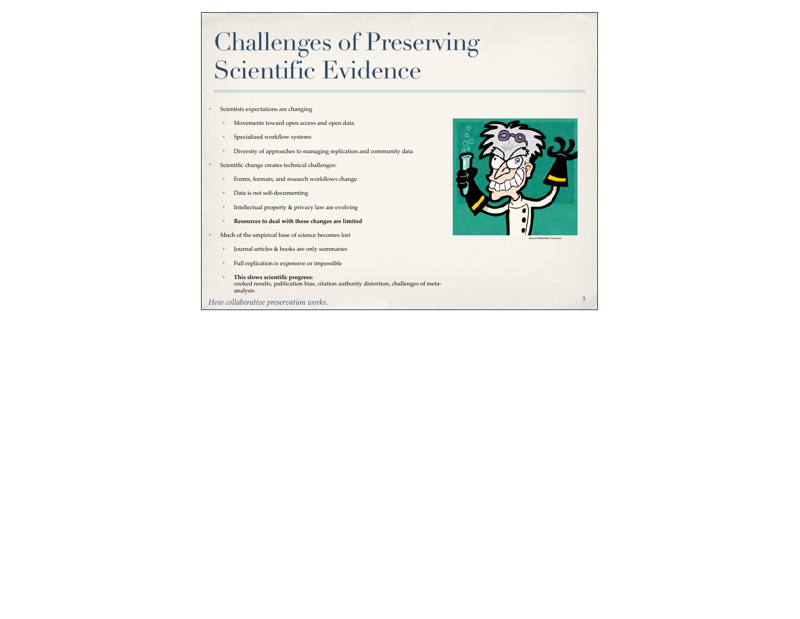## Challenges of Preserving Scientific Evidence

- ✤ Scientists expectations are changing
	- ✤ Movements toward open access and open data
	- ✤ Specialized workflow systems
	- ✤ Diversity of approaches to managing replication and community data
- ✤ Scientific change creates technical challenges:
	- ✤ Forms, formats, and research workflows change
	- ✤ Data is not self-documenting
	- ✤ Intellectual property & privacy law are evolving
	- ✤ **Resources to deal with these changes are limited**
- ✤ Much of the empirical base of science becomes lost
	- ✤ Journal articles & books are only summaries
	- ✤ Full replication is expensive or impossible
	- ✤ **This slows scientific progress:** cooked results, publication bias, citation authority distortion, challenges of metaanalysis
- *How collaborative preservation works.*



5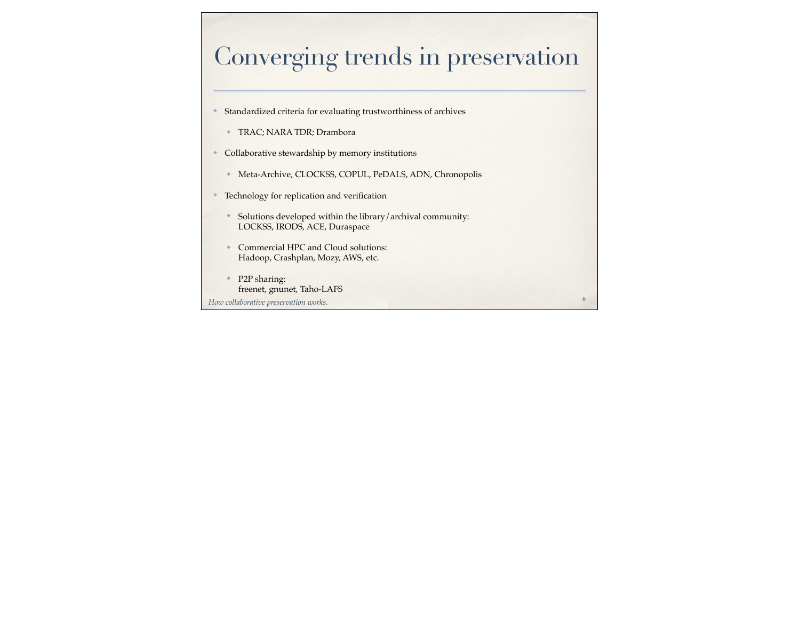# Converging trends in preservation

6

- ✤ Standardized criteria for evaluating trustworthiness of archives
	- ✤ TRAC; NARA TDR; Drambora
- ✤ Collaborative stewardship by memory institutions
	- ✤ Meta-Archive, CLOCKSS, COPUL, PeDALS, ADN, Chronopolis
- ✤ Technology for replication and verification
	- ✤ Solutions developed within the library/archival community: LOCKSS, IRODS, ACE, Duraspace
	- ✤ Commercial HPC and Cloud solutions: Hadoop, Crashplan, Mozy, AWS, etc.
	- ✤ P2P sharing: freenet, gnunet, Taho-LAFS

*How collaborative preservation works.*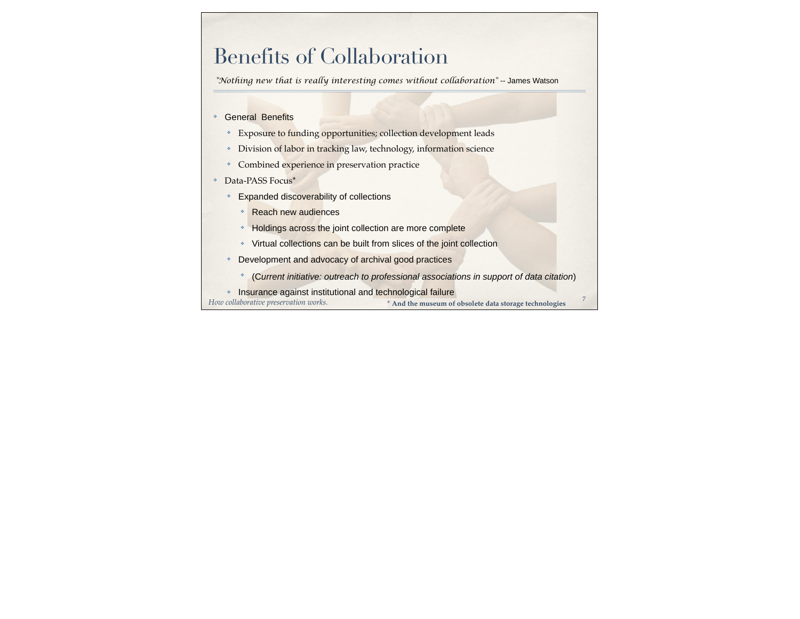### Benefits of Collaboration

*"Nothing new that is really interesting comes without collaboration"* -- James Watson

#### General Benefits

- ✤ Exposure to funding opportunities; collection development leads
- ✤ Division of labor in tracking law, technology, information science
- ✤ Combined experience in preservation practice
- Data-PASS Focus\*
	- ✤ Expanded discoverability of collections
		- ✤ Reach new audiences
		- ✤ Holdings across the joint collection are more complete
		- ✤ Virtual collections can be built from slices of the joint collection
	- ✤ Development and advocacy of archival good practices
		- ✤ (C*urrent initiative: outreach to professional associations in support of data citation*)
	- ✤ Insurance against institutional and technological failure

*How collaborative preservation works.* **\* And the museum of obsolete data storage technologies** <sup>7</sup>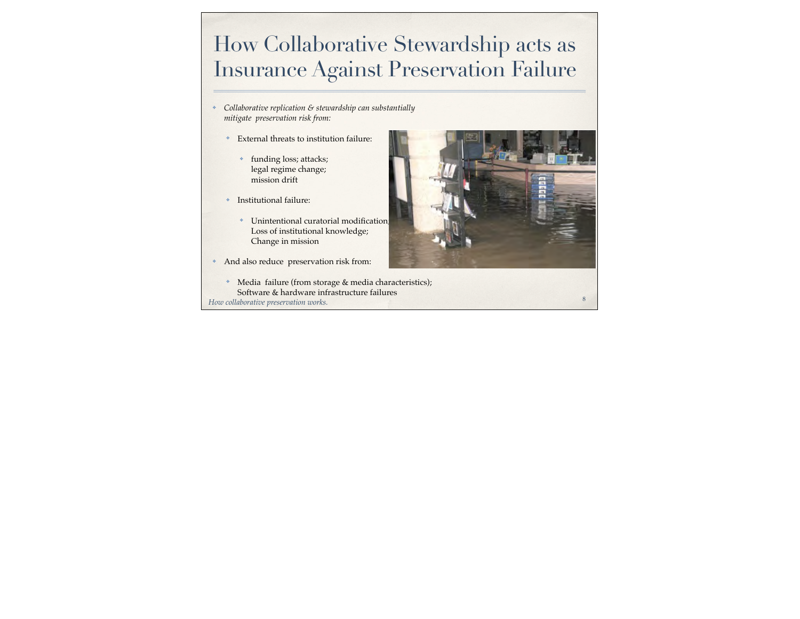## How Collaborative Stewardship acts as Insurance Against Preservation Failure

- ✤ *Collaborative replication & stewardship can substantially mitigate preservation risk from:*
	- ✤ External threats to institution failure:
		- ✤ funding loss; attacks; legal regime change; mission drift
	- ✤ Institutional failure:
		- ✤ Unintentional curatorial modification; Loss of institutional knowledge; Change in mission
- ✤ And also reduce preservation risk from:
- *How collaborative preservation works.* ✤ Media failure (from storage & media characteristics); Software & hardware infrastructure failures

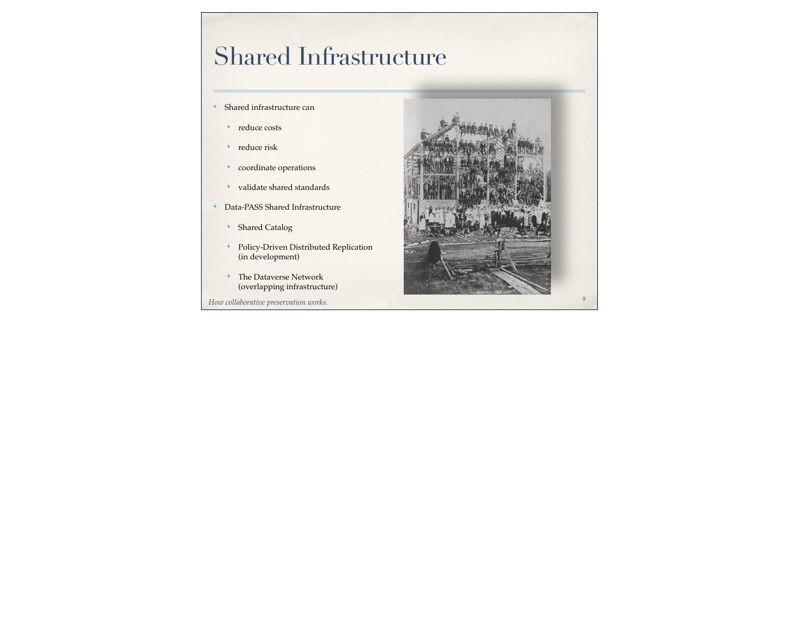# Shared Infrastructure

- ✤ Shared infrastructure can
	- ✤ reduce costs
	- ✤ reduce risk
	- ✤ coordinate operations
	- ✤ validate shared standards
- ✤ Data-PASS Shared Infrastructure
	- ✤ Shared Catalog
	- ✤ Policy-Driven Distributed Replication (in development)
	- ✤ The Dataverse Network (overlapping infrastructure)
- *How collaborative preservation works.*

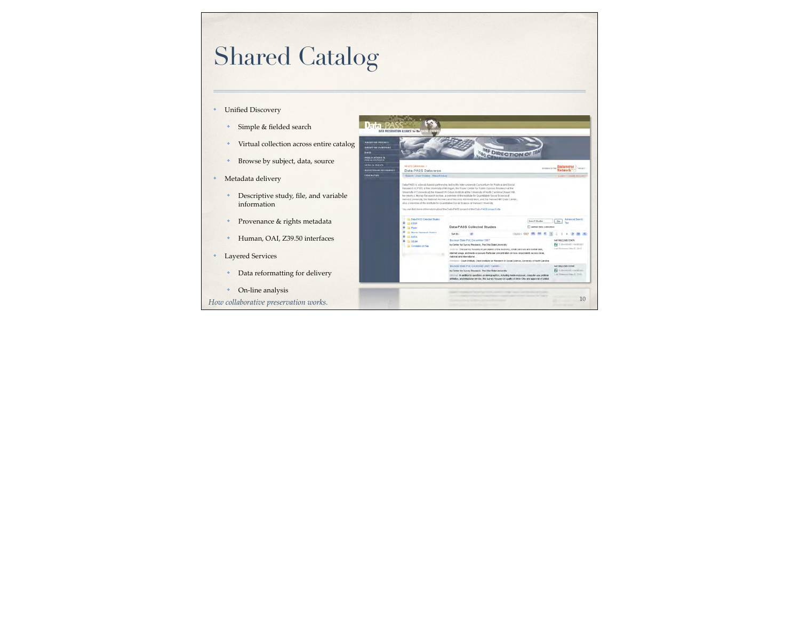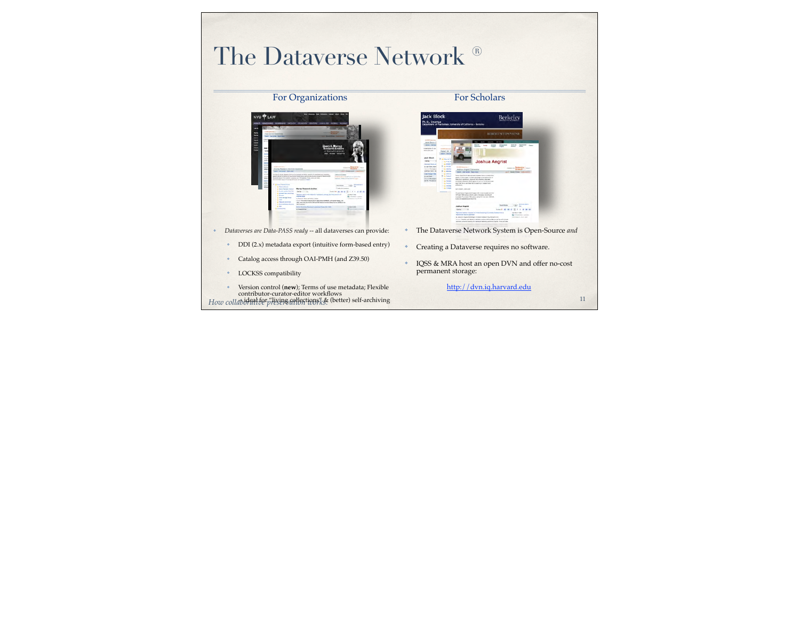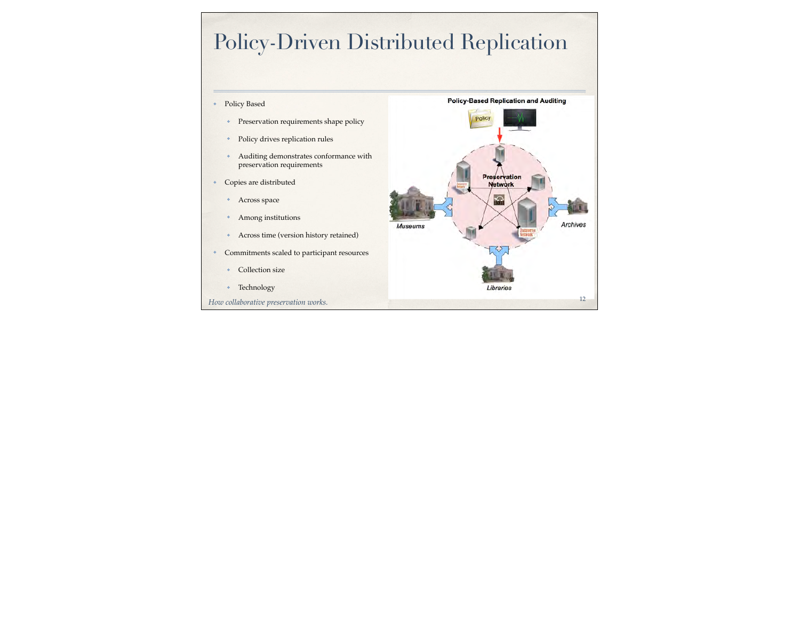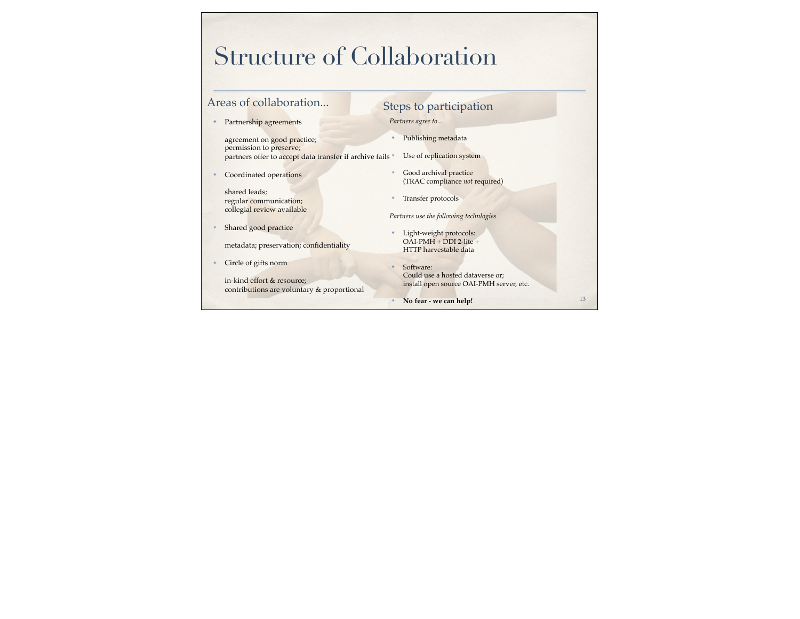# Structure of Collaboration

| Areas of collaboration                                                                                              |   | Steps to participation                                                                    |    |
|---------------------------------------------------------------------------------------------------------------------|---|-------------------------------------------------------------------------------------------|----|
| Partnership agreements                                                                                              |   | Partners agree to                                                                         |    |
| agreement on good practice;<br>permission to preserve;<br>partners offer to accept data transfer if archive fails * | ÷ | Publishing metadata<br>Use of replication system                                          |    |
| Coordinated operations                                                                                              | ÷ | Good archival practice<br>(TRAC compliance not required)                                  |    |
| shared leads;<br>regular communication;<br>collegial review available                                               | ÷ | Transfer protocols<br>Partners use the following technlogies                              |    |
| Shared good practice<br>metadata; preservation; confidentiality                                                     | ÷ | Light-weight protocols:<br>$OAI-PMH + DDI 2-life +$<br>HTTP harvestable data              |    |
| Circle of gifts norm<br>in-kind effort & resource;<br>contributions are voluntary & proportional                    |   | Software:<br>Could use a hosted dataverse or;<br>install open source OAI-PMH server, etc. |    |
|                                                                                                                     | ÷ | No fear - we can help!                                                                    | 13 |